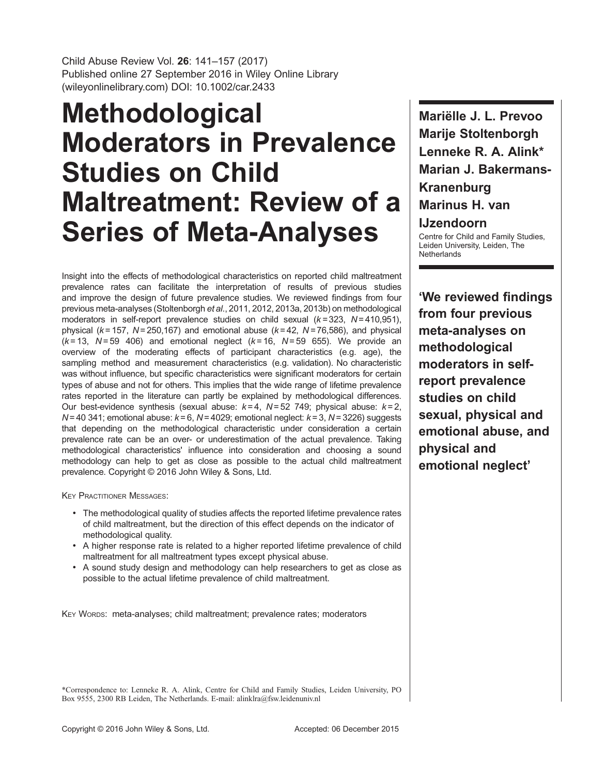Child Abuse Review Vol. 26: 141–157 (2017) Published online 27 September 2016 in Wiley Online Library (wileyonlinelibrary.com) DOI: 10.1002/car.2433

# **Methodological** Moderators in Prevalence Studies on Child Maltreatment: Review of a Series of Meta-Analyses

Insight into the effects of methodological characteristics on reported child maltreatment prevalence rates can facilitate the interpretation of results of previous studies and improve the design of future prevalence studies. We reviewed findings from four previous meta-analyses (Stoltenborgh et al., 2011, 2012, 2013a, 2013b) on methodological moderators in self-report prevalence studies on child sexual  $(k=323, N=410,951)$ , physical ( $k = 157$ ,  $N = 250,167$ ) and emotional abuse ( $k = 42$ ,  $N = 76,586$ ), and physical  $(k=13, N=59, 406)$  and emotional neglect  $(k=16, N=59, 655)$ . We provide an overview of the moderating effects of participant characteristics (e.g. age), the sampling method and measurement characteristics (e.g. validation). No characteristic was without influence, but specific characteristics were significant moderators for certain types of abuse and not for others. This implies that the wide range of lifetime prevalence rates reported in the literature can partly be explained by methodological differences. Our best-evidence synthesis (sexual abuse:  $k=4$ ,  $N=52$  749; physical abuse:  $k=2$ ,  $N = 40$  341; emotional abuse:  $k = 6$ ,  $N = 4029$ ; emotional neglect:  $k = 3$ ,  $N = 3226$ ) suggests that depending on the methodological characteristic under consideration a certain prevalence rate can be an over- or underestimation of the actual prevalence. Taking methodological characteristics' influence into consideration and choosing a sound methodology can help to get as close as possible to the actual child maltreatment prevalence. Copyright © 2016 John Wiley & Sons, Ltd.

KEY PRACTITIONER MESSAGES:

- The methodological quality of studies affects the reported lifetime prevalence rates of child maltreatment, but the direction of this effect depends on the indicator of methodological quality.
- A higher response rate is related to a higher reported lifetime prevalence of child maltreatment for all maltreatment types except physical abuse.
- A sound study design and methodology can help researchers to get as close as possible to the actual lifetime prevalence of child maltreatment.

KEY WORDS: meta-analyses; child maltreatment; prevalence rates; moderators

\*Correspondence to: Lenneke R. A. Alink, Centre for Child and Family Studies, Leiden University, PO Box 9555, 2300 RB Leiden, The Netherlands. E-mail: alinklra@fsw.leidenuniv.nl

Mariëlle J. L. Prevoo Marije Stoltenborgh Lenneke R. A. Alink\* Marian J. Bakermans-Kranenburg Marinus H. van IJzendoorn

Centre for Child and Family Studies, Leiden University, Leiden, The **Netherlands** 

'We reviewed findings from four previous meta-analyses on methodological moderators in selfreport prevalence studies on child sexual, physical and emotional abuse, and physical and emotional neglect'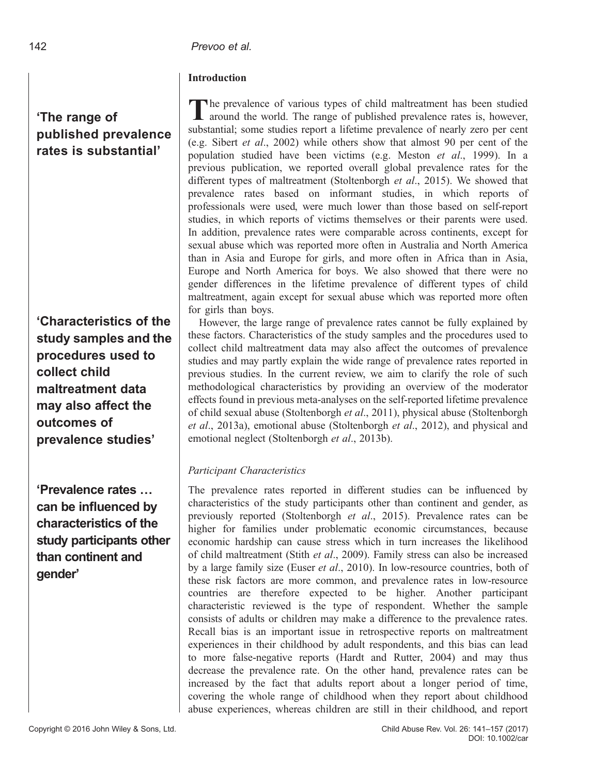# Introduction

'The range of published prevalence rates is substantial'

'Characteristics of the study samples and the procedures used to collect child maltreatment data may also affect the outcomes of prevalence studies'

'Prevalence rates … can be influenced by characteristics of the study participants other than continent and gender'

The prevalence of various types of child maltreatment has been studied around the world. The range of published prevalence rates is, however, substantial; some studies report a lifetime prevalence of nearly zero per cent (e.g. Sibert et al., 2002) while others show that almost 90 per cent of the population studied have been victims (e.g. Meston et al., 1999). In a previous publication, we reported overall global prevalence rates for the different types of maltreatment (Stoltenborgh et al., 2015). We showed that prevalence rates based on informant studies, in which reports of professionals were used, were much lower than those based on self-report studies, in which reports of victims themselves or their parents were used. In addition, prevalence rates were comparable across continents, except for sexual abuse which was reported more often in Australia and North America than in Asia and Europe for girls, and more often in Africa than in Asia, Europe and North America for boys. We also showed that there were no gender differences in the lifetime prevalence of different types of child maltreatment, again except for sexual abuse which was reported more often for girls than boys.

However, the large range of prevalence rates cannot be fully explained by these factors. Characteristics of the study samples and the procedures used to collect child maltreatment data may also affect the outcomes of prevalence studies and may partly explain the wide range of prevalence rates reported in previous studies. In the current review, we aim to clarify the role of such methodological characteristics by providing an overview of the moderator effects found in previous meta-analyses on the self-reported lifetime prevalence of child sexual abuse (Stoltenborgh et al., 2011), physical abuse (Stoltenborgh et al., 2013a), emotional abuse (Stoltenborgh et al., 2012), and physical and emotional neglect (Stoltenborgh et al., 2013b).

# Participant Characteristics

The prevalence rates reported in different studies can be influenced by characteristics of the study participants other than continent and gender, as previously reported (Stoltenborgh et al., 2015). Prevalence rates can be higher for families under problematic economic circumstances, because economic hardship can cause stress which in turn increases the likelihood of child maltreatment (Stith et al., 2009). Family stress can also be increased by a large family size (Euser et al., 2010). In low-resource countries, both of these risk factors are more common, and prevalence rates in low-resource countries are therefore expected to be higher. Another participant characteristic reviewed is the type of respondent. Whether the sample consists of adults or children may make a difference to the prevalence rates. Recall bias is an important issue in retrospective reports on maltreatment experiences in their childhood by adult respondents, and this bias can lead to more false-negative reports (Hardt and Rutter, 2004) and may thus decrease the prevalence rate. On the other hand, prevalence rates can be increased by the fact that adults report about a longer period of time, covering the whole range of childhood when they report about childhood abuse experiences, whereas children are still in their childhood, and report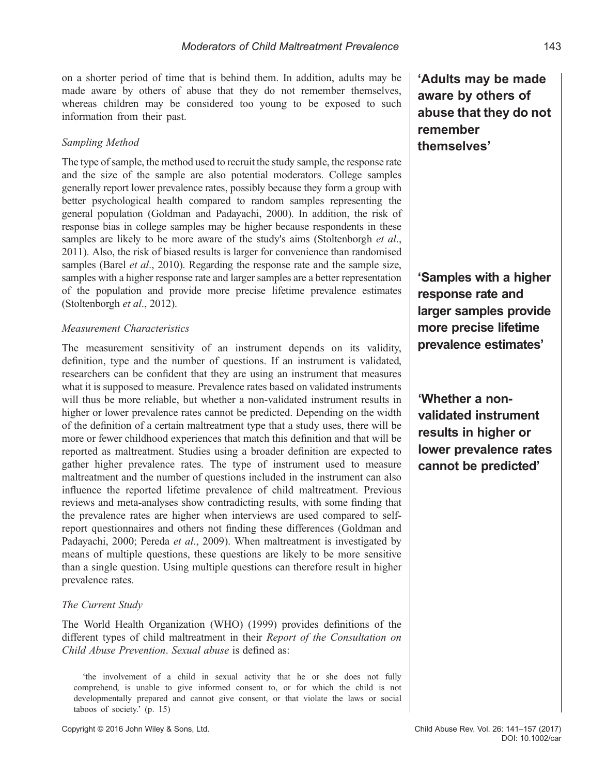on a shorter period of time that is behind them. In addition, adults may be made aware by others of abuse that they do not remember themselves, whereas children may be considered too young to be exposed to such information from their past.

#### Sampling Method

The type of sample, the method used to recruit the study sample, the response rate and the size of the sample are also potential moderators. College samples generally report lower prevalence rates, possibly because they form a group with better psychological health compared to random samples representing the general population (Goldman and Padayachi, 2000). In addition, the risk of response bias in college samples may be higher because respondents in these samples are likely to be more aware of the study's aims (Stoltenborgh *et al.*, 2011). Also, the risk of biased results is larger for convenience than randomised samples (Barel *et al.*, 2010). Regarding the response rate and the sample size, samples with a higher response rate and larger samples are a better representation of the population and provide more precise lifetime prevalence estimates (Stoltenborgh et al., 2012).

#### Measurement Characteristics

The measurement sensitivity of an instrument depends on its validity, definition, type and the number of questions. If an instrument is validated, researchers can be confident that they are using an instrument that measures what it is supposed to measure. Prevalence rates based on validated instruments will thus be more reliable, but whether a non-validated instrument results in higher or lower prevalence rates cannot be predicted. Depending on the width of the definition of a certain maltreatment type that a study uses, there will be more or fewer childhood experiences that match this definition and that will be reported as maltreatment. Studies using a broader definition are expected to gather higher prevalence rates. The type of instrument used to measure maltreatment and the number of questions included in the instrument can also influence the reported lifetime prevalence of child maltreatment. Previous reviews and meta-analyses show contradicting results, with some finding that the prevalence rates are higher when interviews are used compared to selfreport questionnaires and others not finding these differences (Goldman and Padayachi, 2000; Pereda et al., 2009). When maltreatment is investigated by means of multiple questions, these questions are likely to be more sensitive than a single question. Using multiple questions can therefore result in higher prevalence rates.

#### The Current Study

The World Health Organization (WHO) (1999) provides definitions of the different types of child maltreatment in their Report of the Consultation on Child Abuse Prevention. Sexual abuse is defined as:

'the involvement of a child in sexual activity that he or she does not fully comprehend, is unable to give informed consent to, or for which the child is not developmentally prepared and cannot give consent, or that violate the laws or social taboos of society.' (p. 15)

Copyright © 2016 John Wiley & Sons, Ltd. Child Abuse Rev. Vol. 26: 141–157 (2017)

'Adults may be made aware by others of abuse that they do not remember themselves'

'Samples with a higher response rate and larger samples provide more precise lifetime prevalence estimates'

'Whether a nonvalidated instrument results in higher or lower prevalence rates cannot be predicted'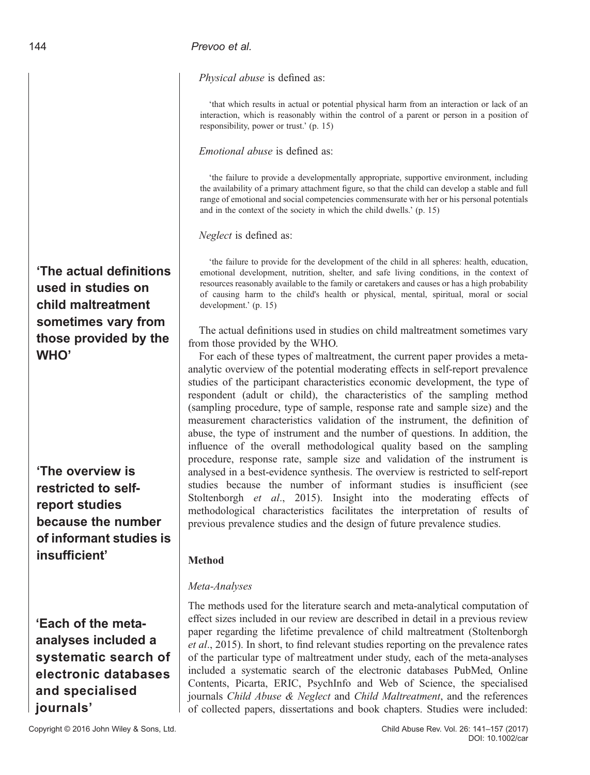### 144 Prevoo et al.

Physical abuse is defined as:

'that which results in actual or potential physical harm from an interaction or lack of an interaction, which is reasonably within the control of a parent or person in a position of responsibility, power or trust.' (p. 15)

Emotional abuse is defined as:

'the failure to provide a developmentally appropriate, supportive environment, including the availability of a primary attachment figure, so that the child can develop a stable and full range of emotional and social competencies commensurate with her or his personal potentials and in the context of the society in which the child dwells.' (p. 15)

Neglect is defined as:

'the failure to provide for the development of the child in all spheres: health, education, emotional development, nutrition, shelter, and safe living conditions, in the context of resources reasonably available to the family or caretakers and causes or has a high probability of causing harm to the child's health or physical, mental, spiritual, moral or social development.' (p. 15)

The actual definitions used in studies on child maltreatment sometimes vary from those provided by the WHO.

For each of these types of maltreatment, the current paper provides a metaanalytic overview of the potential moderating effects in self-report prevalence studies of the participant characteristics economic development, the type of respondent (adult or child), the characteristics of the sampling method (sampling procedure, type of sample, response rate and sample size) and the measurement characteristics validation of the instrument, the definition of abuse, the type of instrument and the number of questions. In addition, the influence of the overall methodological quality based on the sampling procedure, response rate, sample size and validation of the instrument is analysed in a best-evidence synthesis. The overview is restricted to self-report studies because the number of informant studies is insufficient (see Stoltenborgh et al., 2015). Insight into the moderating effects of methodological characteristics facilitates the interpretation of results of previous prevalence studies and the design of future prevalence studies.

# Method

# Meta-Analyses

The methods used for the literature search and meta-analytical computation of effect sizes included in our review are described in detail in a previous review paper regarding the lifetime prevalence of child maltreatment (Stoltenborgh et al., 2015). In short, to find relevant studies reporting on the prevalence rates of the particular type of maltreatment under study, each of the meta-analyses included a systematic search of the electronic databases PubMed, Online Contents, Picarta, ERIC, PsychInfo and Web of Science, the specialised journals Child Abuse & Neglect and Child Maltreatment, and the references of collected papers, dissertations and book chapters. Studies were included:

'The actual definitions used in studies on child maltreatment sometimes vary from those provided by the WHO'

'The overview is restricted to selfreport studies because the number of informant studies is insufficient'

'Each of the metaanalyses included a systematic search of electronic databases and specialised journals'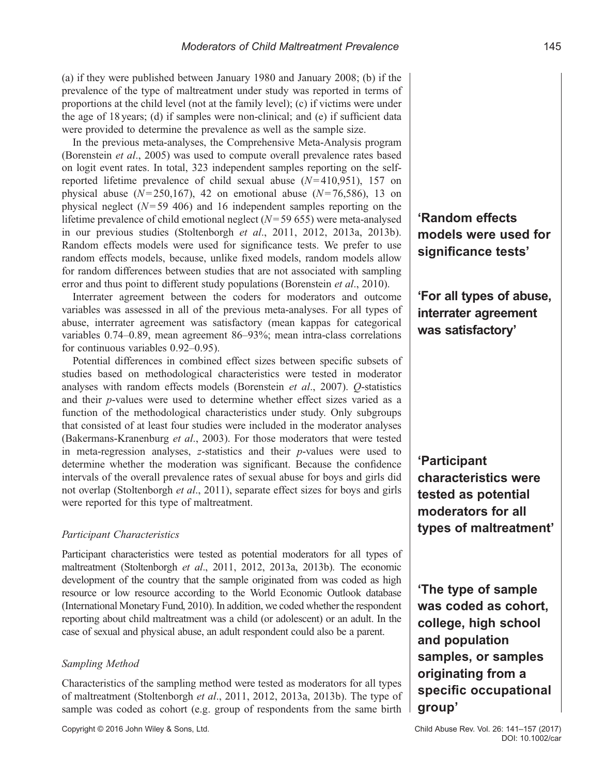(a) if they were published between January 1980 and January 2008; (b) if the prevalence of the type of maltreatment under study was reported in terms of proportions at the child level (not at the family level); (c) if victims were under the age of 18 years; (d) if samples were non-clinical; and (e) if sufficient data were provided to determine the prevalence as well as the sample size.

In the previous meta-analyses, the Comprehensive Meta-Analysis program (Borenstein et al., 2005) was used to compute overall prevalence rates based on logit event rates. In total, 323 independent samples reporting on the selfreported lifetime prevalence of child sexual abuse  $(N= 410.951)$ , 157 on physical abuse ( $N= 250,167$ ), 42 on emotional abuse ( $N= 76,586$ ), 13 on physical neglect  $(N= 59, 406)$  and 16 independent samples reporting on the lifetime prevalence of child emotional neglect  $(N= 59 655)$  were meta-analysed in our previous studies (Stoltenborgh et al., 2011, 2012, 2013a, 2013b). Random effects models were used for significance tests. We prefer to use random effects models, because, unlike fixed models, random models allow for random differences between studies that are not associated with sampling error and thus point to different study populations (Borenstein *et al.*, 2010).

Interrater agreement between the coders for moderators and outcome variables was assessed in all of the previous meta-analyses. For all types of abuse, interrater agreement was satisfactory (mean kappas for categorical variables 0.74–0.89, mean agreement 86–93%; mean intra-class correlations for continuous variables 0.92–0.95).

Potential differences in combined effect sizes between specific subsets of studies based on methodological characteristics were tested in moderator analyses with random effects models (Borenstein et al., 2007). Q-statistics and their p-values were used to determine whether effect sizes varied as a function of the methodological characteristics under study. Only subgroups that consisted of at least four studies were included in the moderator analyses (Bakermans-Kranenburg et al., 2003). For those moderators that were tested in meta-regression analyses, z-statistics and their p-values were used to determine whether the moderation was significant. Because the confidence intervals of the overall prevalence rates of sexual abuse for boys and girls did not overlap (Stoltenborgh et al., 2011), separate effect sizes for boys and girls were reported for this type of maltreatment.

#### Participant Characteristics

Participant characteristics were tested as potential moderators for all types of maltreatment (Stoltenborgh et al., 2011, 2012, 2013a, 2013b). The economic development of the country that the sample originated from was coded as high resource or low resource according to the World Economic Outlook database (International Monetary Fund, 2010). In addition, we coded whether the respondent reporting about child maltreatment was a child (or adolescent) or an adult. In the case of sexual and physical abuse, an adult respondent could also be a parent.

#### Sampling Method

Characteristics of the sampling method were tested as moderators for all types of maltreatment (Stoltenborgh et al., 2011, 2012, 2013a, 2013b). The type of sample was coded as cohort (e.g. group of respondents from the same birth 'Random effects models were used for significance tests'

'For all types of abuse, interrater agreement was satisfactory'

'Participant characteristics were tested as potential moderators for all types of maltreatment'

'The type of sample was coded as cohort, college, high school and population samples, or samples originating from a specific occupational group'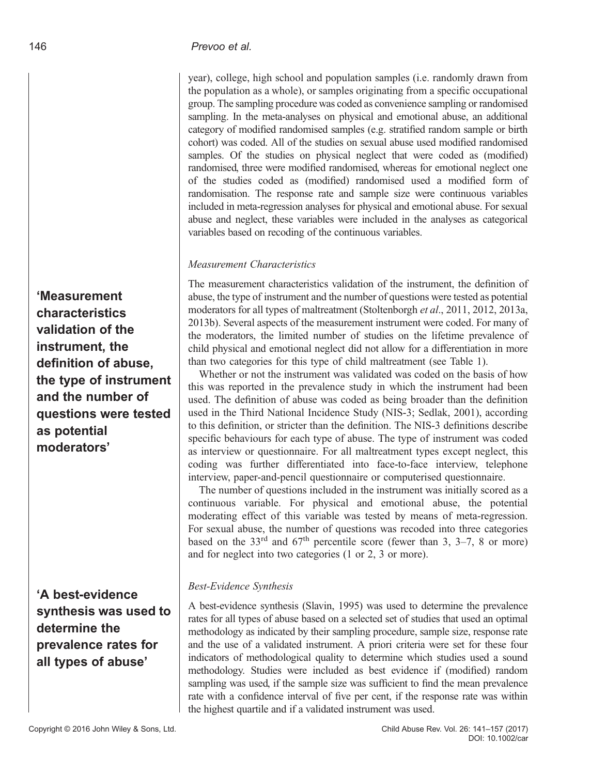year), college, high school and population samples (i.e. randomly drawn from the population as a whole), or samples originating from a specific occupational group. The sampling procedure was coded as convenience sampling or randomised sampling. In the meta-analyses on physical and emotional abuse, an additional category of modified randomised samples (e.g. stratified random sample or birth cohort) was coded. All of the studies on sexual abuse used modified randomised samples. Of the studies on physical neglect that were coded as (modified) randomised, three were modified randomised, whereas for emotional neglect one of the studies coded as (modified) randomised used a modified form of randomisation. The response rate and sample size were continuous variables included in meta-regression analyses for physical and emotional abuse. For sexual abuse and neglect, these variables were included in the analyses as categorical variables based on recoding of the continuous variables.

# Measurement Characteristics

The measurement characteristics validation of the instrument, the definition of abuse, the type of instrument and the number of questions were tested as potential moderators for all types of maltreatment (Stoltenborgh et al., 2011, 2012, 2013a, 2013b). Several aspects of the measurement instrument were coded. For many of the moderators, the limited number of studies on the lifetime prevalence of child physical and emotional neglect did not allow for a differentiation in more than two categories for this type of child maltreatment (see Table 1).

Whether or not the instrument was validated was coded on the basis of how this was reported in the prevalence study in which the instrument had been used. The definition of abuse was coded as being broader than the definition used in the Third National Incidence Study (NIS-3; Sedlak, 2001), according to this definition, or stricter than the definition. The NIS-3 definitions describe specific behaviours for each type of abuse. The type of instrument was coded as interview or questionnaire. For all maltreatment types except neglect, this coding was further differentiated into face-to-face interview, telephone interview, paper-and-pencil questionnaire or computerised questionnaire.

The number of questions included in the instrument was initially scored as a continuous variable. For physical and emotional abuse, the potential moderating effect of this variable was tested by means of meta-regression. For sexual abuse, the number of questions was recoded into three categories based on the  $33<sup>rd</sup>$  and  $67<sup>th</sup>$  percentile score (fewer than 3, 3–7, 8 or more) and for neglect into two categories (1 or 2, 3 or more).

# Best-Evidence Synthesis

A best-evidence synthesis (Slavin, 1995) was used to determine the prevalence rates for all types of abuse based on a selected set of studies that used an optimal methodology as indicated by their sampling procedure, sample size, response rate and the use of a validated instrument. A priori criteria were set for these four indicators of methodological quality to determine which studies used a sound methodology. Studies were included as best evidence if (modified) random sampling was used, if the sample size was sufficient to find the mean prevalence rate with a confidence interval of five per cent, if the response rate was within the highest quartile and if a validated instrument was used.

'Measurement characteristics validation of the instrument, the definition of abuse, the type of instrument and the number of questions were tested as potential moderators'

'A best-evidence synthesis was used to determine the prevalence rates for all types of abuse'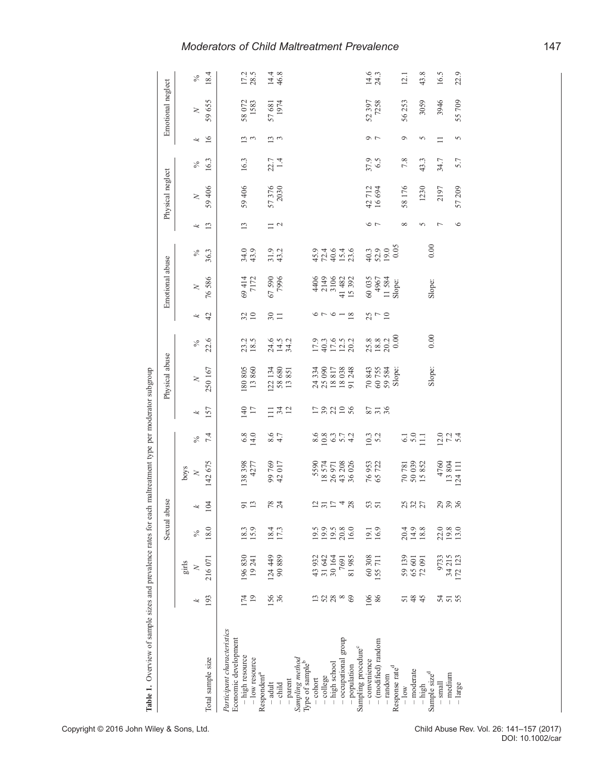|                                                |                |                  |                            | Sexual abuse    |                                      |                                           |                                                        | Physical abuse                       |                                                |                | Emotional abuse                        |                                         |                               | Physical neglect  |               |                 | Emotional neglect |                |
|------------------------------------------------|----------------|------------------|----------------------------|-----------------|--------------------------------------|-------------------------------------------|--------------------------------------------------------|--------------------------------------|------------------------------------------------|----------------|----------------------------------------|-----------------------------------------|-------------------------------|-------------------|---------------|-----------------|-------------------|----------------|
|                                                |                | girls            |                            |                 | boys                                 |                                           |                                                        |                                      |                                                |                |                                        |                                         |                               |                   |               |                 |                   |                |
|                                                | x              | $\geq$           | $\%$                       | k               | $\geq$                               | $\%$                                      | k                                                      | $\geq$                               | $\delta_0'$                                    | k              | $\geq$                                 | $\%$                                    | x                             |                   | $\delta_0'$   | k               | $\geq$            | $\delta_0'$    |
| Total sample size                              | 193            | 216071           | 18.0                       | 104             | 142675                               | 7.4                                       | 157                                                    | 250 167                              | 22.6                                           | 42             | 76586                                  | 36.3                                    | $\mathbf{r}$                  | $\frac{N}{59406}$ | 16.3          | 16              | 59655             | 18.4           |
| Participant characteristics                    |                |                  |                            |                 |                                      |                                           |                                                        |                                      |                                                |                |                                        |                                         |                               |                   |               |                 |                   |                |
| Economic development<br>- high resource        |                | 196830           |                            |                 |                                      |                                           |                                                        |                                      |                                                |                |                                        |                                         | 13                            | 59 406            | 16.3          |                 |                   |                |
| - low resource                                 | 19             | 19 241           | 18.3<br>15.9               | $\frac{51}{13}$ | 138 398<br>4277                      | $6.8$<br>14.0                             | $\frac{40}{17}$                                        | 805<br>860<br><b>80</b><br>13        | 23.2<br>18.5                                   | 32             | 69 414<br>7172                         | 34.0<br>43.9                            |                               |                   |               | $\frac{13}{10}$ | 58 072<br>1583    | 17.2<br>28.5   |
| Respondent <sup>a</sup>                        |                |                  |                            |                 |                                      |                                           |                                                        |                                      |                                                |                |                                        |                                         |                               |                   |               |                 |                   |                |
| $- a dult$                                     | 156            | 124 449          | 18.4<br>17.3               | 78              | 99769<br>42017                       | $6.6$<br>4.7                              |                                                        |                                      |                                                | $\frac{5}{11}$ | 67590                                  | 31.9                                    | $\overline{z}$ $\overline{z}$ | 57 376            | $22.7$<br>1.4 | $\frac{13}{3}$  | 57 681<br>1974    | 14.4<br>46.8   |
| $-$ child                                      | 36             | 90889            |                            |                 |                                      |                                           | $114$<br>$34$                                          | 13851<br>$\frac{28}{58}$             | 0<br>0<br>0<br>0<br>0<br>0<br>0<br>0<br>0<br>0 |                |                                        |                                         |                               |                   |               |                 |                   |                |
| - parent                                       |                |                  |                            |                 |                                      |                                           |                                                        |                                      |                                                |                |                                        |                                         |                               |                   |               |                 |                   |                |
| Sampling method<br>Type of sample <sup>b</sup> |                |                  |                            |                 |                                      |                                           |                                                        |                                      |                                                |                |                                        |                                         |                               |                   |               |                 |                   |                |
| $-cohort$                                      |                | 43 932           | 19.5                       |                 | 5590                                 |                                           |                                                        |                                      |                                                |                |                                        |                                         |                               |                   |               |                 |                   |                |
| $-college$                                     |                |                  |                            |                 |                                      |                                           |                                                        |                                      |                                                |                |                                        |                                         |                               |                   |               |                 |                   |                |
| - high school                                  | 1388           | 31 642<br>30 164 |                            |                 |                                      |                                           |                                                        |                                      |                                                |                |                                        |                                         |                               |                   |               |                 |                   |                |
| - occupational group                           |                | 7691             | $19.9$<br>$19.5$<br>$20.8$ |                 |                                      |                                           |                                                        | 24.8885                              |                                                | $0 - 9 - 8$    |                                        |                                         |                               |                   |               |                 |                   |                |
| $-p$ opulation                                 | 69             | 81985            | 16.0                       | 277748          | 18 574<br>26 971<br>43 208<br>36 026 |                                           | $\begin{array}{c}\n 2 \\  3 \\  2 \\  3\n \end{array}$ | 38533                                | 17.9<br>40.3<br>17.6<br>20.2                   |                | $4406$ $41482$ $41482$ $41482$ $41532$ | 9 1 1 9 1 9<br>9 1 9 1 9 1<br>9 1 9 1 9 |                               |                   |               |                 |                   |                |
| Sampling procedure <sup>c</sup>                |                |                  |                            |                 |                                      |                                           |                                                        |                                      |                                                |                |                                        |                                         |                               |                   |               |                 |                   |                |
| $-$ convenience                                | 106            | 60308            | 19.1                       | 53              | 76953<br>65722                       | 10.3                                      |                                                        |                                      |                                                |                | 60 035<br>4967<br>11 584               |                                         | $\sim$ $\sim$                 | 42712<br>16694    | 37.9<br>6.5   | $\sim$ $\sim$   | 52 397<br>7258    | $14.6$<br>24.3 |
| - (modified) random                            | 86             | 155711           | 16.9                       |                 |                                      |                                           | $87$ 36                                                |                                      |                                                | $25$ $7$ $0$   |                                        |                                         |                               |                   |               |                 |                   |                |
| Response rate <sup>d</sup><br>$-$ random       |                |                  |                            |                 |                                      |                                           |                                                        | 70 843<br>60 755<br>59 584<br>Slope: | $25.8$<br>$18.2$<br>$20.2$<br>$0.00$           |                | Slope:                                 | $40.3$<br>$52.9$<br>$19.0$<br>0.05      |                               |                   |               |                 |                   |                |
| $-10W$                                         | 51             | 59139            | 20.4                       |                 |                                      |                                           |                                                        |                                      |                                                |                |                                        |                                         | $\infty$                      | 58 176            | 7.8           | $\sigma$        | 56 253            | 12.1           |
| $-$ moderate                                   |                | 65 601<br>72 091 |                            | 25<br>32<br>27  | 70 781<br>50 039<br>15 852           | $\frac{6.1}{5.0}$                         |                                                        |                                      |                                                |                |                                        |                                         |                               |                   |               |                 |                   |                |
| $-$ high                                       | 48             |                  | 14.9<br>18.8               |                 |                                      |                                           |                                                        |                                      |                                                |                |                                        |                                         | $\Omega$                      | 1230              | 43.3          | 5               | 3059              | 43.8           |
| Sample size <sup>d</sup>                       |                |                  |                            |                 |                                      |                                           |                                                        | Slope:                               | 0.00                                           |                | Slope:                                 | 0.00                                    |                               |                   |               |                 |                   |                |
| $-$ small $\,$                                 |                | 9733             | 22.0<br>19.0<br>13.0       | 228             | 4760                                 | $\frac{0}{2}$ $\frac{0}{7}$ $\frac{4}{4}$ |                                                        |                                      |                                                |                |                                        |                                         | $\overline{ }$                | 2197              | 34.7          | $\Box$          | 3946              | 16.5           |
| $-$ medium                                     | 54<br>55<br>55 | 34 215           |                            |                 | 13 804<br>124 111                    |                                           |                                                        |                                      |                                                |                |                                        |                                         |                               |                   |               |                 |                   |                |
| $-\ln$ ge                                      |                | 172 123          |                            |                 |                                      |                                           |                                                        |                                      |                                                |                |                                        |                                         | $\circ$                       | 57 209            | 5.7           | 5               | 55 709            | 22.9           |
|                                                |                |                  |                            |                 |                                      |                                           |                                                        |                                      |                                                |                |                                        |                                         |                               |                   |               |                 |                   |                |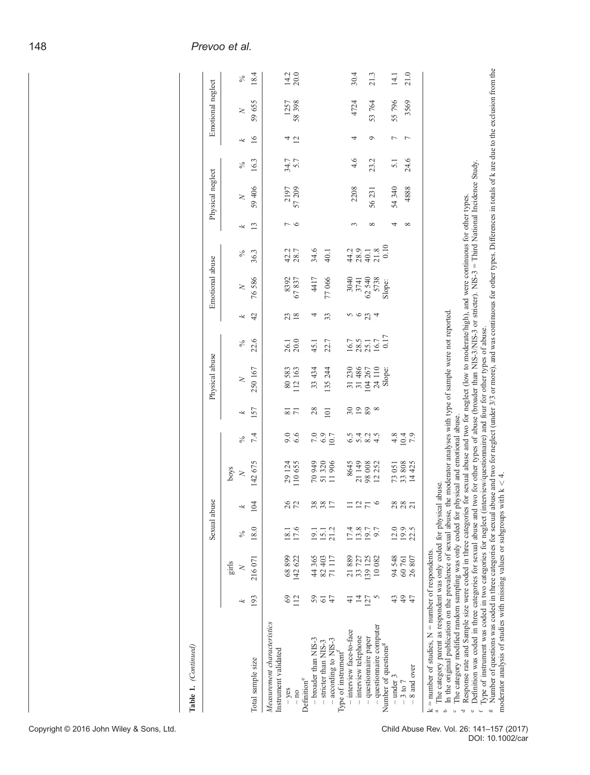|                                                                                                                                                                                                                                                   |     |                             | Sexual ab | use            |                                                                                                              |               |                | Physical abuse              |      |      | Emotional abuse |                                                |               | Physical neglect |                 |                 | Emotional neglect |      |
|---------------------------------------------------------------------------------------------------------------------------------------------------------------------------------------------------------------------------------------------------|-----|-----------------------------|-----------|----------------|--------------------------------------------------------------------------------------------------------------|---------------|----------------|-----------------------------|------|------|-----------------|------------------------------------------------|---------------|------------------|-----------------|-----------------|-------------------|------|
|                                                                                                                                                                                                                                                   |     | girls                       |           |                | boys                                                                                                         |               |                |                             |      |      |                 |                                                |               |                  |                 |                 |                   |      |
|                                                                                                                                                                                                                                                   |     |                             |           |                | $\geq$                                                                                                       | $\%$          | x              | $\geq$                      | $\%$ | x    | $\geq$          | $\%$                                           | ×             | $\geq$           | $\%$            | x               | $\geq$            | $\%$ |
| Total sample size                                                                                                                                                                                                                                 | 193 | 216 071                     | 18.0      | $\beta$        | 142 675                                                                                                      | 7.4           | 157            | 250 167                     | 22.6 | 42   | 76586           | 36.3                                           | $\frac{3}{2}$ | 59406            | 16.3            | $\overline{16}$ | 59655             | 18.4 |
| Measurement characteristics<br>Instrument validated                                                                                                                                                                                               |     |                             |           |                |                                                                                                              |               |                |                             |      |      |                 |                                                |               |                  |                 |                 |                   |      |
| $-y$ es                                                                                                                                                                                                                                           |     | 68899                       | 18.1      |                | 29 124                                                                                                       | 9.0           |                | 80583                       | 26.1 | 23   | 8392            | 42.2                                           | ↽             | 2197             | 34.7            | 4               | 1257              | 14.2 |
| $-100$                                                                                                                                                                                                                                            | 112 | 142 622                     | 17.6      | 26             | 110655                                                                                                       | 6.6           | $\overline{5}$ | 112163                      | 20.0 | 18   | 67837           | 28.7                                           | $\circ$       | 57 209           | 5.7             | 12              | 58 398            | 20.0 |
| Definition <sup>e</sup>                                                                                                                                                                                                                           |     |                             |           |                |                                                                                                              |               |                |                             |      |      |                 |                                                |               |                  |                 |                 |                   |      |
| - broader than NIS-3                                                                                                                                                                                                                              | 59  | 44 365                      | 19.1      |                | 70 949                                                                                                       | 7.0           | 28             | 33 434                      | 45.1 | 4    | 4417            | 34.6                                           |               |                  |                 |                 |                   |      |
| $-$ stricter than NIS-3                                                                                                                                                                                                                           | 5   | 82 403<br>71 117            |           | 3807           | 51 320                                                                                                       | $6.9$<br>10.7 | $\overline{0}$ | 135 244                     | 22.7 | 33   | 77066           | 40.1                                           |               |                  |                 |                 |                   |      |
| - according to NIS-3                                                                                                                                                                                                                              | 47  |                             | 21.2      |                | 906<br>$\Box$                                                                                                |               |                |                             |      |      |                 |                                                |               |                  |                 |                 |                   |      |
| Type of instrument <sup>1</sup>                                                                                                                                                                                                                   |     |                             |           |                |                                                                                                              |               |                |                             |      |      |                 |                                                |               |                  |                 |                 |                   |      |
| - interview face-to-face                                                                                                                                                                                                                          |     |                             | 17.4      |                | 8645                                                                                                         | 6.5           |                | 31 230                      | 16.7 |      | 3040<br>3741    |                                                | 3             | 2208             |                 | 4               | 4724              | 30.4 |
| - interview telephone                                                                                                                                                                                                                             |     |                             |           | $\frac{11}{2}$ | 21 149                                                                                                       |               | 29.28          |                             |      |      |                 |                                                |               |                  | 4.6             |                 |                   |      |
| - questionnaire paper                                                                                                                                                                                                                             | 127 | 21 889<br>33 727<br>139 125 | 13.8      |                | 98 008                                                                                                       | 5.4           |                | 31 486<br>104 267<br>24 110 | 28.5 | 5623 | 62 540          | $44.9$<br>$78.9$<br>$71.8$<br>$71.8$<br>$0.10$ |               |                  |                 |                 |                   |      |
| - questionnaire computer                                                                                                                                                                                                                          |     | 10 082                      | 9.7       | $\circ$        | 12 252                                                                                                       | 4.5           | $\infty$       |                             | 16.7 |      | 5738            |                                                | $\infty$      | 56 231           | 23.2            | $\circ$         | 53764             | 21.3 |
| Number of questions <sup>8</sup>                                                                                                                                                                                                                  |     |                             |           |                |                                                                                                              |               |                | Slope:                      | 0.17 |      | Slope:          |                                                |               |                  |                 |                 |                   |      |
| $-$ under $3$                                                                                                                                                                                                                                     | 43  |                             | 12.0      |                | 73 051                                                                                                       | 4.8           |                |                             |      |      |                 |                                                | 4             | 54 340           | $\overline{51}$ | $\overline{ }$  | 55796             | 14.1 |
| $-3$ to 7                                                                                                                                                                                                                                         | 49  | 94548<br>60761              | 19.9      | 2821           | 33808                                                                                                        | 10.4          |                |                             |      |      |                 |                                                |               |                  |                 | Γ               |                   | 21.0 |
| 8 and over                                                                                                                                                                                                                                        | 47  | 26807                       | 22.5      |                | 425<br>$\overline{1}$                                                                                        | 7.9           |                |                             |      |      |                 |                                                | $\infty$      | 4888             | 24.6            |                 | 3569              |      |
| The category parent as respondent was only coded for physical abuse.<br>In the original publication on the prevalence of sexual abuse,<br>$k =$ number of studies, $N =$ number of respondents.                                                   |     |                             |           |                | the moderator analyses with type of sample were not reported.                                                |               |                |                             |      |      |                 |                                                |               |                  |                 |                 |                   |      |
| Response rate and Sample size were coded in three categories for sexual abuse and two for neglect (low to moderate/high), and were continuous for other types.<br>The category modified random sampling was only coded for<br>$\ddot{\circ}$<br>ರ |     |                             |           |                | physical and emotional abuse.                                                                                |               |                |                             |      |      |                 |                                                |               |                  |                 |                 |                   |      |
| Type of instrument was coded in two categories for neglect (interview/questionnaire) and four for other types of abuse.<br>Definition was coded in three categories for sexual abuse and<br>O                                                     |     |                             |           |                | two for other types of abuse (broader than NIS-3/NIS-3 or stricter). NIS-3 = Third National Incidence Study. |               |                |                             |      |      |                 |                                                |               |                  |                 |                 |                   |      |
| Number of questions was coded in three categories for sexual abuse and two for neglect (under 3/3 or more), and was continuous for other types. Differences in totals of k are due to the exclusion from the                                      |     |                             |           |                |                                                                                                              |               |                |                             |      |      |                 |                                                |               |                  |                 |                 |                   |      |

moderator analysis of studies with missing values or subgroups with k

 $\frac{4}{\sqrt{2}}$ 

Table 1. (Continued) Table 1. (Continued)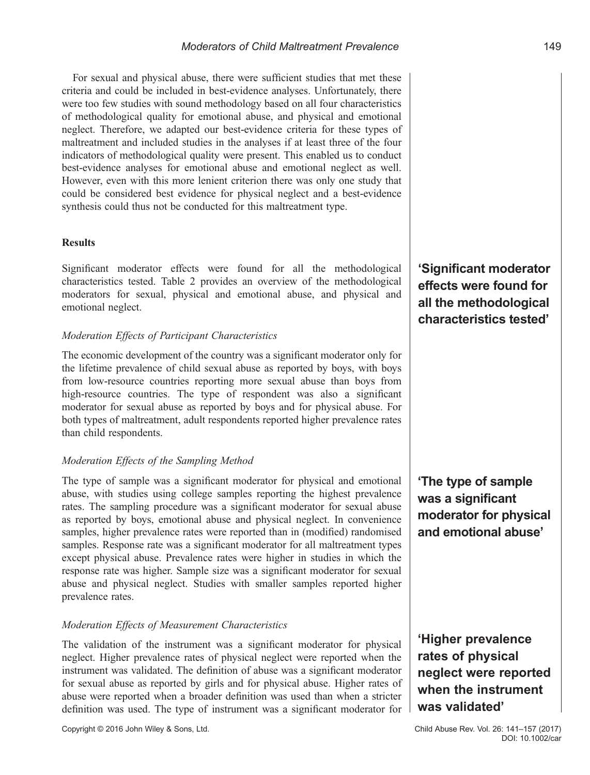For sexual and physical abuse, there were sufficient studies that met these criteria and could be included in best-evidence analyses. Unfortunately, there were too few studies with sound methodology based on all four characteristics of methodological quality for emotional abuse, and physical and emotional neglect. Therefore, we adapted our best-evidence criteria for these types of maltreatment and included studies in the analyses if at least three of the four indicators of methodological quality were present. This enabled us to conduct best-evidence analyses for emotional abuse and emotional neglect as well. However, even with this more lenient criterion there was only one study that could be considered best evidence for physical neglect and a best-evidence synthesis could thus not be conducted for this maltreatment type.

#### **Results**

Significant moderator effects were found for all the methodological characteristics tested. Table 2 provides an overview of the methodological moderators for sexual, physical and emotional abuse, and physical and emotional neglect.

#### Moderation Effects of Participant Characteristics

The economic development of the country was a significant moderator only for the lifetime prevalence of child sexual abuse as reported by boys, with boys from low-resource countries reporting more sexual abuse than boys from high-resource countries. The type of respondent was also a significant moderator for sexual abuse as reported by boys and for physical abuse. For both types of maltreatment, adult respondents reported higher prevalence rates than child respondents.

#### Moderation Effects of the Sampling Method

The type of sample was a significant moderator for physical and emotional abuse, with studies using college samples reporting the highest prevalence rates. The sampling procedure was a significant moderator for sexual abuse as reported by boys, emotional abuse and physical neglect. In convenience samples, higher prevalence rates were reported than in (modified) randomised samples. Response rate was a significant moderator for all maltreatment types except physical abuse. Prevalence rates were higher in studies in which the response rate was higher. Sample size was a significant moderator for sexual abuse and physical neglect. Studies with smaller samples reported higher prevalence rates.

#### Moderation Effects of Measurement Characteristics

The validation of the instrument was a significant moderator for physical neglect. Higher prevalence rates of physical neglect were reported when the instrument was validated. The definition of abuse was a significant moderator for sexual abuse as reported by girls and for physical abuse. Higher rates of abuse were reported when a broader definition was used than when a stricter definition was used. The type of instrument was a significant moderator for

'Significant moderator effects were found for all the methodological characteristics tested'

'The type of sample was a significant moderator for physical and emotional abuse'

# 'Higher prevalence rates of physical neglect were reported when the instrument was validated'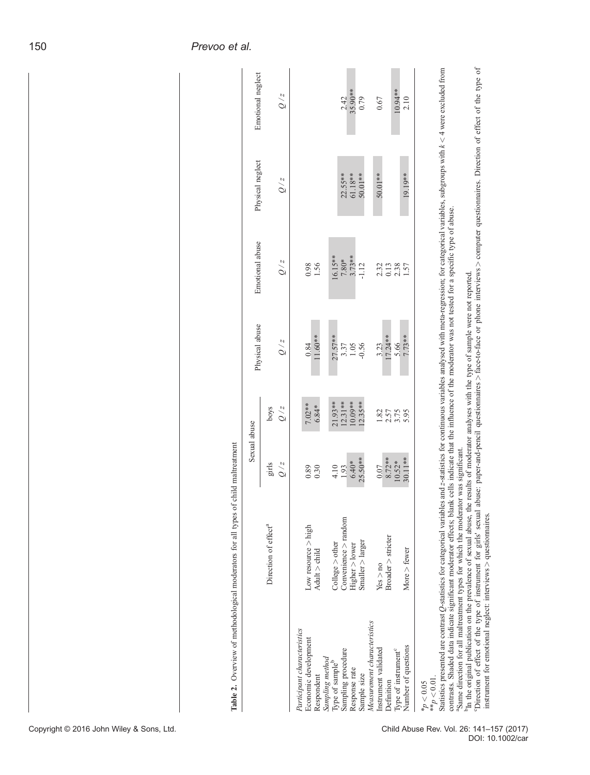|                                                |                                  |              | Sexual abuse | Physical abuse             | Emotional abuse      | Physical neglect      | Emotional neglect |
|------------------------------------------------|----------------------------------|--------------|--------------|----------------------------|----------------------|-----------------------|-------------------|
|                                                | Direction of effect <sup>a</sup> | Q/z<br>girls | Q/z<br>poys  | Q/z                        | Q/z                  | Q/z                   | Q/z               |
| Participant characteristics                    |                                  |              |              |                            |                      |                       |                   |
| Economic development                           | Low resource $>$ high            | 0.89         | $7.02**$     | 0.84                       | 0.98                 |                       |                   |
| Respondent                                     | Adult > child                    | 0.30         | $6.84*$      | $11.60***$                 | 1.56                 |                       |                   |
|                                                |                                  |              |              |                            |                      |                       |                   |
| Sampling method<br>Type of sample <sup>b</sup> | Collected                        |              | $21.93**$    | $27.57**$                  | 16.15**              |                       |                   |
| Sampling procedure                             | Convenience > random             | 4.10<br>1.93 | $12.31**$    |                            |                      |                       | 2.42              |
| Response rate                                  | Higher > lower                   | $6.40*$      | 10.09**      | $3.37$<br>$1.05$<br>$0.56$ | $7.80*$<br>3.73**    | $22.55***$<br>61.18** | 35.90**           |
| Sample size                                    | Smaller > larger                 | $25.50**$    | $12.35***$   |                            | 1.12                 | 50.01 **              | 0.79              |
| Measurement characteristics                    |                                  |              |              |                            |                      |                       |                   |
| Instrument validated                           | Yes $>$ no                       | 0.07         | 1.82         | 3.23                       |                      | 50.01 **              | 0.67              |
| Definition                                     | Broader > stricter               | $8.72***$    |              | $17.24***$                 | 2.32<br>0.13<br>2.38 |                       |                   |
| Type of instrument <sup>c</sup>                |                                  | $10.52*$     | 2.57<br>3.75 | 5.66                       |                      |                       | 10.94 **          |
| Number of questions                            | More > fewer                     | 30.11**      | 5.95         | $7.73**$                   | 1.57                 | 19.19**               | 2.10              |
| $*_{p} < 0.01$<br>$*_p$ < 0.05                 |                                  |              |              |                            |                      |                       |                   |

contrasts. Shaded data indicate significant moderator effects; blank cells indicate that the influence of the moderator was not tested for a specific type of abuse.<br>"Same direction for all maltreatment types for which the

cDirection of effect of the type of instrument for girls' sexual abuse: paper-and-pencil questionnaires >> face-to-face or phone interviews > $>$  computer questionnaires. Direction of effect of the type of instrument for emotional neglect: interviews >questionnaires.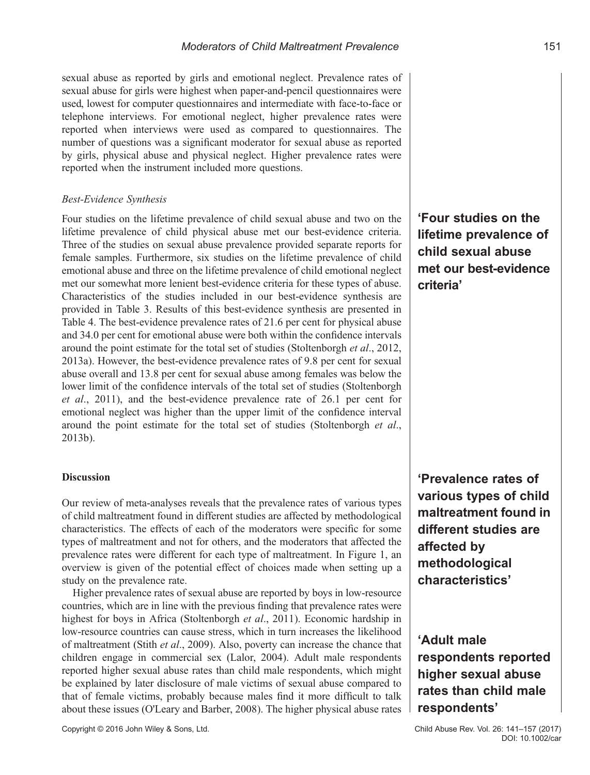sexual abuse as reported by girls and emotional neglect. Prevalence rates of sexual abuse for girls were highest when paper-and-pencil questionnaires were used, lowest for computer questionnaires and intermediate with face-to-face or telephone interviews. For emotional neglect, higher prevalence rates were reported when interviews were used as compared to questionnaires. The number of questions was a significant moderator for sexual abuse as reported by girls, physical abuse and physical neglect. Higher prevalence rates were reported when the instrument included more questions.

#### Best-Evidence Synthesis

Four studies on the lifetime prevalence of child sexual abuse and two on the lifetime prevalence of child physical abuse met our best-evidence criteria. Three of the studies on sexual abuse prevalence provided separate reports for female samples. Furthermore, six studies on the lifetime prevalence of child emotional abuse and three on the lifetime prevalence of child emotional neglect met our somewhat more lenient best-evidence criteria for these types of abuse. Characteristics of the studies included in our best-evidence synthesis are provided in Table 3. Results of this best-evidence synthesis are presented in Table 4. The best-evidence prevalence rates of 21.6 per cent for physical abuse and 34.0 per cent for emotional abuse were both within the confidence intervals around the point estimate for the total set of studies (Stoltenborgh et al., 2012, 2013a). However, the best-evidence prevalence rates of 9.8 per cent for sexual abuse overall and 13.8 per cent for sexual abuse among females was below the lower limit of the confidence intervals of the total set of studies (Stoltenborgh et al., 2011), and the best-evidence prevalence rate of 26.1 per cent for emotional neglect was higher than the upper limit of the confidence interval around the point estimate for the total set of studies (Stoltenborgh et al., 2013b).

#### Discussion

Our review of meta-analyses reveals that the prevalence rates of various types of child maltreatment found in different studies are affected by methodological characteristics. The effects of each of the moderators were specific for some types of maltreatment and not for others, and the moderators that affected the prevalence rates were different for each type of maltreatment. In Figure 1, an overview is given of the potential effect of choices made when setting up a study on the prevalence rate.

Higher prevalence rates of sexual abuse are reported by boys in low-resource countries, which are in line with the previous finding that prevalence rates were highest for boys in Africa (Stoltenborgh et al., 2011). Economic hardship in low-resource countries can cause stress, which in turn increases the likelihood of maltreatment (Stith et al., 2009). Also, poverty can increase the chance that children engage in commercial sex (Lalor, 2004). Adult male respondents reported higher sexual abuse rates than child male respondents, which might be explained by later disclosure of male victims of sexual abuse compared to that of female victims, probably because males find it more difficult to talk about these issues (O'Leary and Barber, 2008). The higher physical abuse rates

'Four studies on the lifetime prevalence of child sexual abuse met our best-evidence criteria'

'Prevalence rates of various types of child maltreatment found in different studies are affected by methodological characteristics'

# 'Adult male respondents reported higher sexual abuse rates than child male respondents'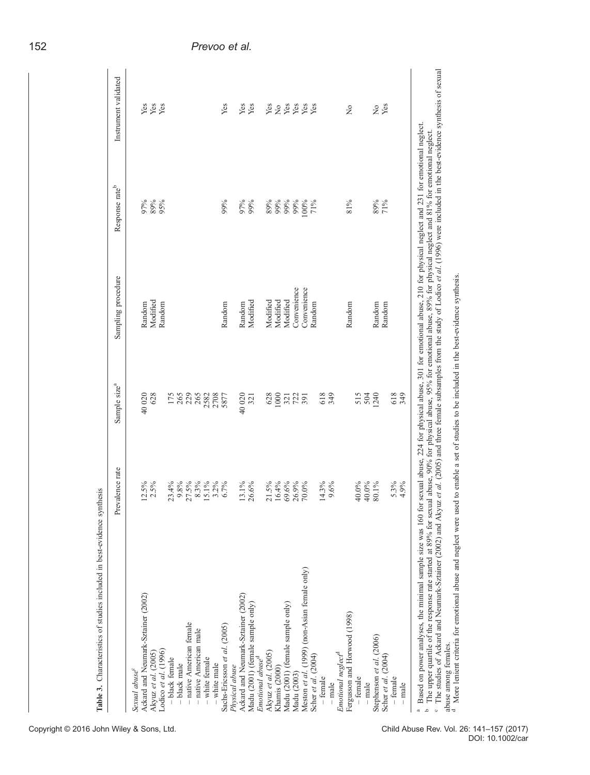|                                                                                                                                                                                                                                                                                                                                                                                                                                                                                                                                                                                                                         | Prevalence rate | Sample size <sup>a</sup> | Sampling procedure | Response rate <sup>b</sup> | Instrument validated           |
|-------------------------------------------------------------------------------------------------------------------------------------------------------------------------------------------------------------------------------------------------------------------------------------------------------------------------------------------------------------------------------------------------------------------------------------------------------------------------------------------------------------------------------------------------------------------------------------------------------------------------|-----------------|--------------------------|--------------------|----------------------------|--------------------------------|
| Sexual abuse <sup>c</sup>                                                                                                                                                                                                                                                                                                                                                                                                                                                                                                                                                                                               |                 |                          |                    |                            |                                |
| Ackard and Neumark-Sztainer (2002)                                                                                                                                                                                                                                                                                                                                                                                                                                                                                                                                                                                      | 12.5%           | 40020                    | Random             | 97%                        |                                |
| Akyuz et al. (2005)                                                                                                                                                                                                                                                                                                                                                                                                                                                                                                                                                                                                     | 2.5%            | 628                      | Modified           |                            |                                |
| Lodico et al. (1996)                                                                                                                                                                                                                                                                                                                                                                                                                                                                                                                                                                                                    |                 |                          | Random             | 89%<br>95%                 | <b>Ass</b>                     |
| - black female                                                                                                                                                                                                                                                                                                                                                                                                                                                                                                                                                                                                          | 23.4%           | 175                      |                    |                            |                                |
| - black male                                                                                                                                                                                                                                                                                                                                                                                                                                                                                                                                                                                                            | 9.8%            | 265                      |                    |                            |                                |
| - native American female                                                                                                                                                                                                                                                                                                                                                                                                                                                                                                                                                                                                | 27.5%           | 229                      |                    |                            |                                |
| - native American male                                                                                                                                                                                                                                                                                                                                                                                                                                                                                                                                                                                                  | 8.3%            | 265                      |                    |                            |                                |
| - white female                                                                                                                                                                                                                                                                                                                                                                                                                                                                                                                                                                                                          | 15.1%           | 2582<br>2708             |                    |                            |                                |
| $-$ white male                                                                                                                                                                                                                                                                                                                                                                                                                                                                                                                                                                                                          | 3.2%            |                          |                    |                            |                                |
| Sachs-Ericsson et al. (2005)                                                                                                                                                                                                                                                                                                                                                                                                                                                                                                                                                                                            | 6.7%            | 5877                     | Random             | 99%                        | Yes                            |
| Physical abuse                                                                                                                                                                                                                                                                                                                                                                                                                                                                                                                                                                                                          |                 |                          |                    |                            |                                |
| Ackard and Neumark-Sztainer (2002)                                                                                                                                                                                                                                                                                                                                                                                                                                                                                                                                                                                      | 13.1%           | 40020                    | Random             | 97%                        | Yes                            |
| Madu (2001) (female sample only)                                                                                                                                                                                                                                                                                                                                                                                                                                                                                                                                                                                        | 26.6%           | 321                      | Modified           | 99%                        | Yes                            |
| Emotional abuse <sup>d</sup>                                                                                                                                                                                                                                                                                                                                                                                                                                                                                                                                                                                            |                 |                          |                    |                            |                                |
| Akyuz et al. (2005)                                                                                                                                                                                                                                                                                                                                                                                                                                                                                                                                                                                                     | 21.5%           | 628                      | Modified           |                            | Yes                            |
| Khamis (2000)                                                                                                                                                                                                                                                                                                                                                                                                                                                                                                                                                                                                           | 16.4%           | 1000                     | Modified           | 89%<br>99%                 |                                |
| Madu (2001) (female sample only)                                                                                                                                                                                                                                                                                                                                                                                                                                                                                                                                                                                        | 69.6%           | 321                      | Modified           | 99%                        | 288                            |
| Madu (2003)                                                                                                                                                                                                                                                                                                                                                                                                                                                                                                                                                                                                             | 26.9%           |                          | Convenience        | 99%                        |                                |
| Meston et al. (1999) (non-Asian female only)                                                                                                                                                                                                                                                                                                                                                                                                                                                                                                                                                                            | 70.0%           | 391                      | Convenience        |                            |                                |
| Scher et al. (2004)                                                                                                                                                                                                                                                                                                                                                                                                                                                                                                                                                                                                     |                 |                          | Random             | 100%<br>71%                | Yes<br>Yes                     |
| - female                                                                                                                                                                                                                                                                                                                                                                                                                                                                                                                                                                                                                | 14.3%           | 618                      |                    |                            |                                |
| $-male$                                                                                                                                                                                                                                                                                                                                                                                                                                                                                                                                                                                                                 | 9.6%            | 349                      |                    |                            |                                |
| Emotional neglect <sup>d</sup>                                                                                                                                                                                                                                                                                                                                                                                                                                                                                                                                                                                          |                 |                          |                    |                            |                                |
| Fergusson and Horwood (1998)                                                                                                                                                                                                                                                                                                                                                                                                                                                                                                                                                                                            |                 |                          | Random             | 81%                        | $\frac{1}{2}$                  |
| - female                                                                                                                                                                                                                                                                                                                                                                                                                                                                                                                                                                                                                | 40.0%           | 515                      |                    |                            |                                |
| $-$ male                                                                                                                                                                                                                                                                                                                                                                                                                                                                                                                                                                                                                | 40.0%           | 504                      |                    |                            |                                |
| Stephenson et al. (2006)                                                                                                                                                                                                                                                                                                                                                                                                                                                                                                                                                                                                | 80.1%           | 1240                     | Random             | 89%                        | $\stackrel{\circ}{\mathsf{Z}}$ |
| Scher et al. (2004)                                                                                                                                                                                                                                                                                                                                                                                                                                                                                                                                                                                                     |                 |                          | Random             | 71%                        | Yes                            |
| - female                                                                                                                                                                                                                                                                                                                                                                                                                                                                                                                                                                                                                | 5.3%            | 618                      |                    |                            |                                |
| $-$ male                                                                                                                                                                                                                                                                                                                                                                                                                                                                                                                                                                                                                | 4.9%            | 349                      |                    |                            |                                |
| The studies of Ackard and Neumark-Sztainer (2002) and Akyuz et al. (2005) and three female subsamples from the study of Lodico et al. (1996) were included in the best-evidence synthesis of sexual<br>Based on power analyses, the minimal sample size was 160 for sexual abuse, 224 for physical abuse, 301 for emotional abuse, 210 for physical neglect and 231 for emotional neglect.<br>The upper quartile of the response rate started at 89% for sexual abuse, 90% for physical abuse, 95% for emotional abuse, 89% for physical neglect and 81% for emotional neglect.<br>abuse among females.<br>م<br>$\circ$ |                 |                          |                    |                            |                                |
| <sup>d</sup> More lenient criteria for emotional abuse and neglect were used to enable a set of studies to be included in the best-evidence synthesis.                                                                                                                                                                                                                                                                                                                                                                                                                                                                  |                 |                          |                    |                            |                                |

Table 3. Characteristics of studies included in best-evidence synthesis Table 3. Characteristics of studies included in best-evidence synthesis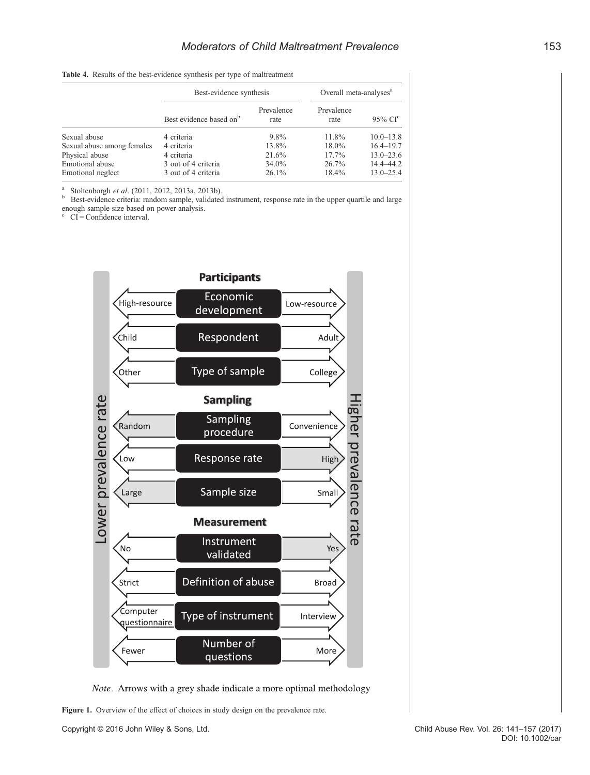|                            | Best-evidence synthesis             |                    | Overall meta-analyses <sup>a</sup> |                        |
|----------------------------|-------------------------------------|--------------------|------------------------------------|------------------------|
|                            | Best evidence based on <sup>b</sup> | Prevalence<br>rate | Prevalence<br>rate                 | $95\%$ CI <sup>c</sup> |
| Sexual abuse               | 4 criteria                          | 9.8%               | 11.8%                              | $10.0 - 13.8$          |
| Sexual abuse among females | 4 criteria                          | 13.8%              | 18.0%                              | $16.4 - 19.7$          |
| Physical abuse             | 4 criteria                          | 21.6%              | 17.7%                              | $13.0 - 23.6$          |
| Emotional abuse            | 3 out of 4 criteria                 | 34.0%              | 26.7%                              | 14.4-44.2              |
| Emotional neglect          | 3 out of 4 criteria                 | $26.1\%$           | 18.4%                              | $13.0 - 25.4$          |
|                            |                                     |                    |                                    |                        |

Table 4. Results of the best-evidence synthesis per type of maltreatment

<sup>a</sup> Stoltenborgh *et al.* (2011, 2012, 2013a, 2013b).<br><sup>b</sup> Best-evidence criteria: random sample, validated instrument, response rate in the upper quartile and large enough sample size based on power analysis.

 $CI =$ Confidence interval.



Note. Arrows with a grey shade indicate a more optimal methodology

Figure 1. Overview of the effect of choices in study design on the prevalence rate.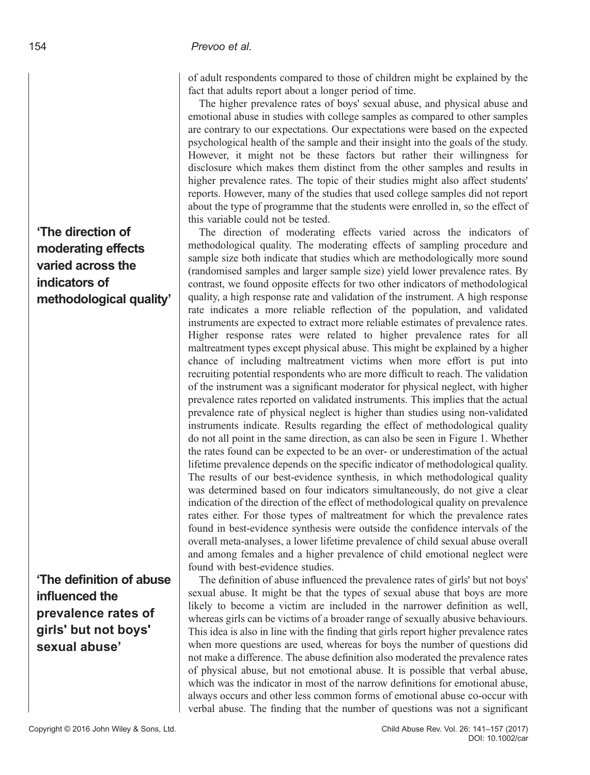of adult respondents compared to those of children might be explained by the fact that adults report about a longer period of time.

The higher prevalence rates of boys' sexual abuse, and physical abuse and emotional abuse in studies with college samples as compared to other samples are contrary to our expectations. Our expectations were based on the expected psychological health of the sample and their insight into the goals of the study. However, it might not be these factors but rather their willingness for disclosure which makes them distinct from the other samples and results in higher prevalence rates. The topic of their studies might also affect students' reports. However, many of the studies that used college samples did not report about the type of programme that the students were enrolled in, so the effect of this variable could not be tested.

The direction of moderating effects varied across the indicators of methodological quality. The moderating effects of sampling procedure and sample size both indicate that studies which are methodologically more sound (randomised samples and larger sample size) yield lower prevalence rates. By contrast, we found opposite effects for two other indicators of methodological quality, a high response rate and validation of the instrument. A high response rate indicates a more reliable reflection of the population, and validated instruments are expected to extract more reliable estimates of prevalence rates. Higher response rates were related to higher prevalence rates for all maltreatment types except physical abuse. This might be explained by a higher chance of including maltreatment victims when more effort is put into recruiting potential respondents who are more difficult to reach. The validation of the instrument was a significant moderator for physical neglect, with higher prevalence rates reported on validated instruments. This implies that the actual prevalence rate of physical neglect is higher than studies using non-validated instruments indicate. Results regarding the effect of methodological quality do not all point in the same direction, as can also be seen in Figure 1. Whether the rates found can be expected to be an over- or underestimation of the actual lifetime prevalence depends on the specific indicator of methodological quality. The results of our best-evidence synthesis, in which methodological quality was determined based on four indicators simultaneously, do not give a clear indication of the direction of the effect of methodological quality on prevalence rates either. For those types of maltreatment for which the prevalence rates found in best-evidence synthesis were outside the confidence intervals of the overall meta-analyses, a lower lifetime prevalence of child sexual abuse overall and among females and a higher prevalence of child emotional neglect were found with best-evidence studies.

The definition of abuse influenced the prevalence rates of girls' but not boys' sexual abuse. It might be that the types of sexual abuse that boys are more likely to become a victim are included in the narrower definition as well, whereas girls can be victims of a broader range of sexually abusive behaviours. This idea is also in line with the finding that girls report higher prevalence rates when more questions are used, whereas for boys the number of questions did not make a difference. The abuse definition also moderated the prevalence rates of physical abuse, but not emotional abuse. It is possible that verbal abuse, which was the indicator in most of the narrow definitions for emotional abuse, always occurs and other less common forms of emotional abuse co-occur with verbal abuse. The finding that the number of questions was not a significant

'The direction of moderating effects varied across the indicators of methodological quality'

'The definition of abuse influenced the prevalence rates of girls' but not boys' sexual abuse'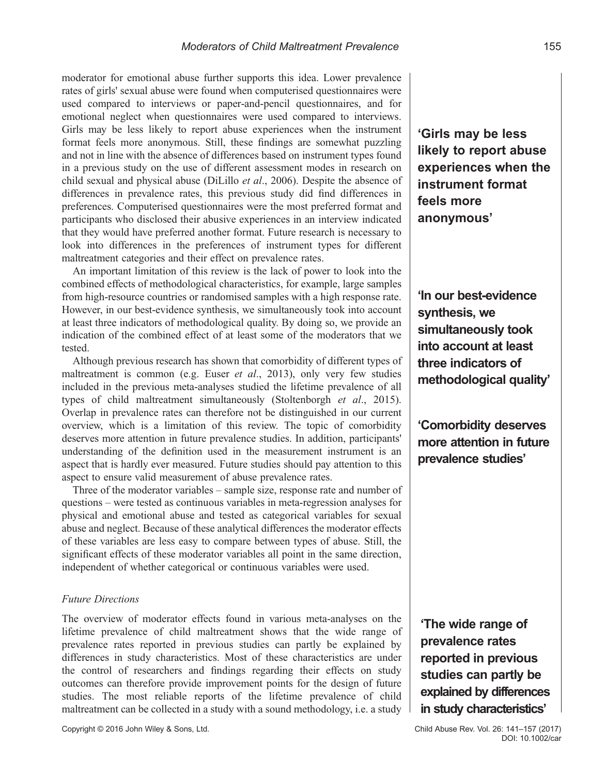moderator for emotional abuse further supports this idea. Lower prevalence rates of girls' sexual abuse were found when computerised questionnaires were used compared to interviews or paper-and-pencil questionnaires, and for emotional neglect when questionnaires were used compared to interviews. Girls may be less likely to report abuse experiences when the instrument format feels more anonymous. Still, these findings are somewhat puzzling and not in line with the absence of differences based on instrument types found in a previous study on the use of different assessment modes in research on child sexual and physical abuse (DiLillo et al., 2006). Despite the absence of differences in prevalence rates, this previous study did find differences in preferences. Computerised questionnaires were the most preferred format and participants who disclosed their abusive experiences in an interview indicated that they would have preferred another format. Future research is necessary to look into differences in the preferences of instrument types for different maltreatment categories and their effect on prevalence rates.

An important limitation of this review is the lack of power to look into the combined effects of methodological characteristics, for example, large samples from high-resource countries or randomised samples with a high response rate. However, in our best-evidence synthesis, we simultaneously took into account at least three indicators of methodological quality. By doing so, we provide an indication of the combined effect of at least some of the moderators that we tested.

Although previous research has shown that comorbidity of different types of maltreatment is common (e.g. Euser *et al.*, 2013), only very few studies included in the previous meta-analyses studied the lifetime prevalence of all types of child maltreatment simultaneously (Stoltenborgh et al., 2015). Overlap in prevalence rates can therefore not be distinguished in our current overview, which is a limitation of this review. The topic of comorbidity deserves more attention in future prevalence studies. In addition, participants' understanding of the definition used in the measurement instrument is an aspect that is hardly ever measured. Future studies should pay attention to this aspect to ensure valid measurement of abuse prevalence rates.

Three of the moderator variables – sample size, response rate and number of questions – were tested as continuous variables in meta-regression analyses for physical and emotional abuse and tested as categorical variables for sexual abuse and neglect. Because of these analytical differences the moderator effects of these variables are less easy to compare between types of abuse. Still, the significant effects of these moderator variables all point in the same direction, independent of whether categorical or continuous variables were used.

#### Future Directions

The overview of moderator effects found in various meta-analyses on the lifetime prevalence of child maltreatment shows that the wide range of prevalence rates reported in previous studies can partly be explained by differences in study characteristics. Most of these characteristics are under the control of researchers and findings regarding their effects on study outcomes can therefore provide improvement points for the design of future studies. The most reliable reports of the lifetime prevalence of child maltreatment can be collected in a study with a sound methodology, i.e. a study

'Girls may be less likely to report abuse experiences when the instrument format feels more anonymous'

'In our best-evidence synthesis, we simultaneously took into account at least three indicators of methodological quality'

'Comorbidity deserves more attention in future prevalence studies'

'The wide range of prevalence rates reported in previous studies can partly be explained by differences in study characteristics'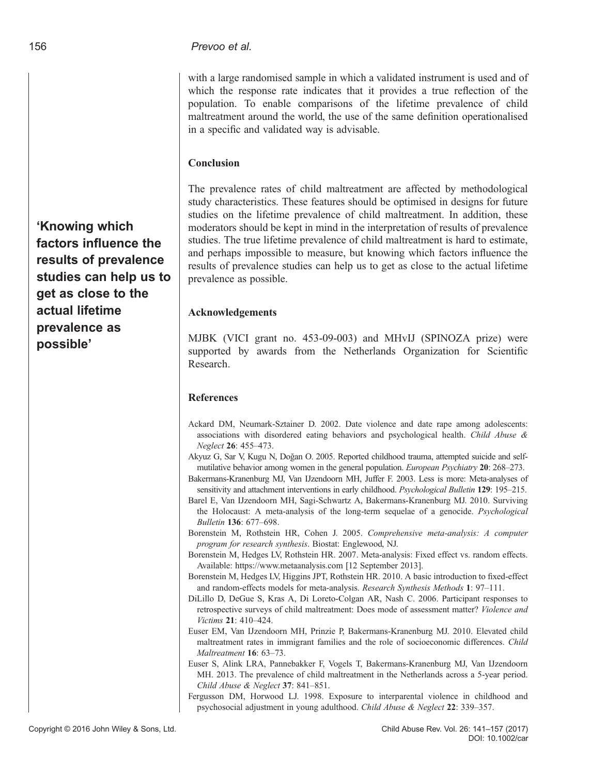#### 156 Prevoo et al.

with a large randomised sample in which a validated instrument is used and of which the response rate indicates that it provides a true reflection of the population. To enable comparisons of the lifetime prevalence of child maltreatment around the world, the use of the same definition operationalised in a specific and validated way is advisable.

#### Conclusion

The prevalence rates of child maltreatment are affected by methodological study characteristics. These features should be optimised in designs for future studies on the lifetime prevalence of child maltreatment. In addition, these moderators should be kept in mind in the interpretation of results of prevalence studies. The true lifetime prevalence of child maltreatment is hard to estimate, and perhaps impossible to measure, but knowing which factors influence the results of prevalence studies can help us to get as close to the actual lifetime prevalence as possible.

#### Acknowledgements

MJBK (VICI grant no. 453-09-003) and MHvIJ (SPINOZA prize) were supported by awards from the Netherlands Organization for Scientific Research.

#### References

- Ackard DM, Neumark-Sztainer D. 2002. Date violence and date rape among adolescents: associations with disordered eating behaviors and psychological health. Child Abuse & Neglect 26: 455–473.
- Akyuz G, Sar V, Kugu N, Doğan O. 2005. Reported childhood trauma, attempted suicide and selfmutilative behavior among women in the general population. *European Psychiatry* 20: 268–273.
- Bakermans-Kranenburg MJ, Van IJzendoorn MH, Juffer F. 2003. Less is more: Meta-analyses of sensitivity and attachment interventions in early childhood. Psychological Bulletin 129: 195–215.
- Barel E, Van IJzendoorn MH, Sagi-Schwartz A, Bakermans-Kranenburg MJ. 2010. Surviving the Holocaust: A meta-analysis of the long-term sequelae of a genocide. Psychological Bulletin 136: 677–698.
- Borenstein M, Rothstein HR, Cohen J. 2005. Comprehensive meta-analysis: A computer program for research synthesis. Biostat: Englewood, NJ.
- Borenstein M, Hedges LV, Rothstein HR. 2007. Meta-analysis: Fixed effect vs. random effects. Available: [https://www.metaanalysis.com](http://www.metaanalysis.com) [12 September 2013].
- Borenstein M, Hedges LV, Higgins JPT, Rothstein HR. 2010. A basic introduction to fixed-effect and random-effects models for meta-analysis. Research Synthesis Methods 1: 97–111.
- DiLillo D, DeGue S, Kras A, Di Loreto-Colgan AR, Nash C. 2006. Participant responses to retrospective surveys of child maltreatment: Does mode of assessment matter? Violence and Victims 21: 410–424.
- Euser EM, Van IJzendoorn MH, Prinzie P, Bakermans-Kranenburg MJ. 2010. Elevated child maltreatment rates in immigrant families and the role of socioeconomic differences. Child Maltreatment **16**: 63–73.
- Euser S, Alink LRA, Pannebakker F, Vogels T, Bakermans-Kranenburg MJ, Van IJzendoorn MH. 2013. The prevalence of child maltreatment in the Netherlands across a 5-year period. Child Abuse & Neglect 37: 841–851.
- Fergusson DM, Horwood LJ. 1998. Exposure to interparental violence in childhood and psychosocial adjustment in young adulthood. Child Abuse & Neglect 22: 339–357.

'Knowing which factors influence the results of prevalence studies can help us to get as close to the actual lifetime prevalence as possible'